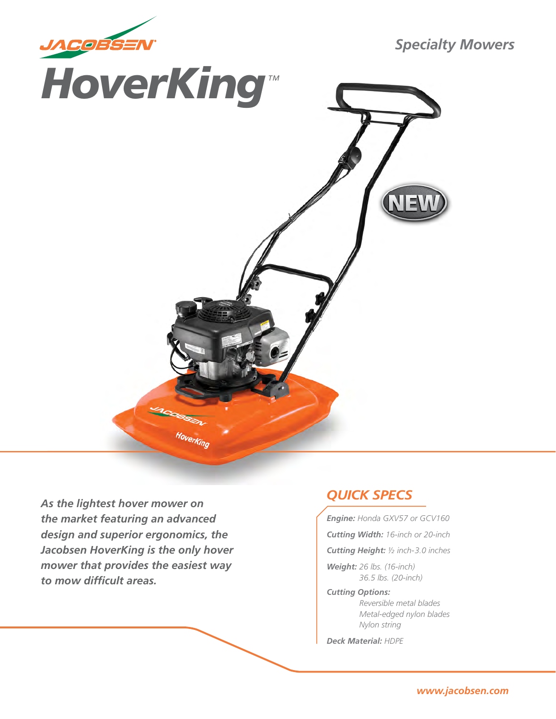

*As the lightest hover mower on the market featuring an advanced design and superior ergonomics, the Jacobsen HoverKing is the only hover mower that provides the easiest way to mow difficult areas.*

### *QUICK SPECS*

*Engine: Honda GXV57 or GCV160*

*Cutting Width: 16-inch or 20-inch*

*Cutting Height: ½ inch-3.0 inches*

*Weight: 26 lbs. (16-inch) 36.5 lbs. (20-inch)*

#### *Cutting Options:*

 *Reversible metal blades Metal-edged nylon blades Nylon string*

*Deck Material: HDPE*